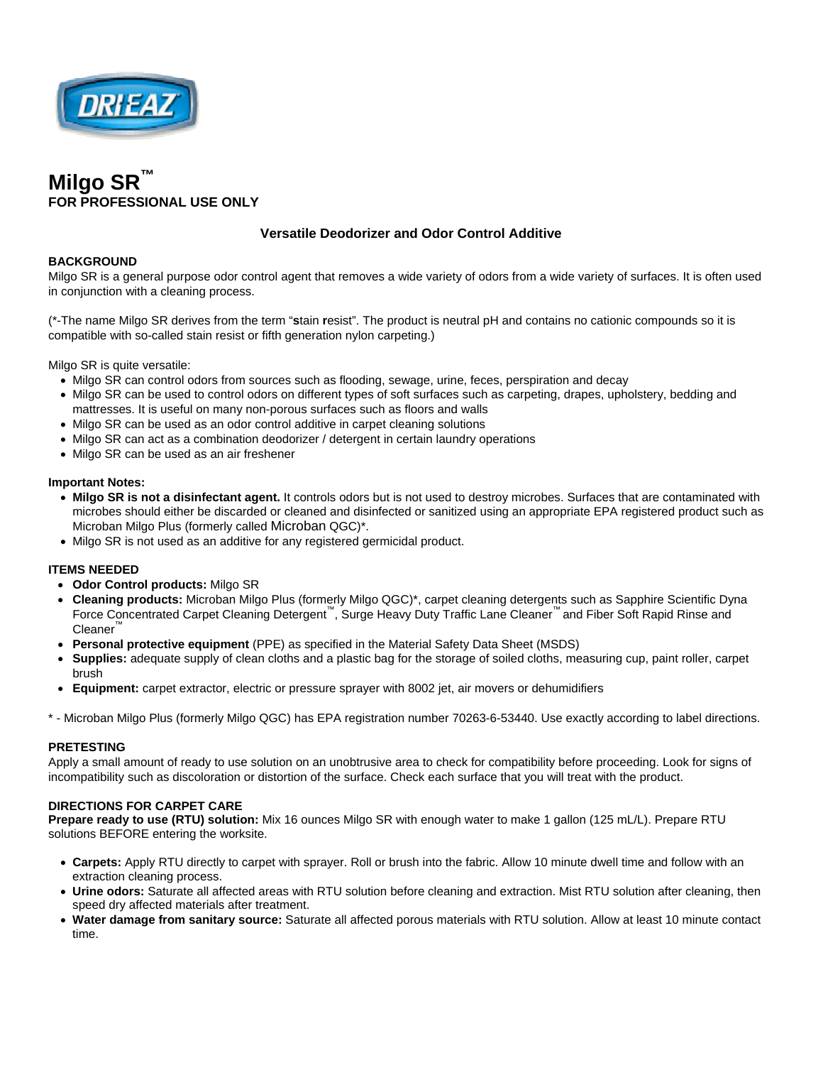



# **Versatile Deodorizer and Odor Control Additive**

### **BACKGROUND**

Milgo SR is a general purpose odor control agent that removes a wide variety of odors from a wide variety of surfaces. It is often used in conjunction with a cleaning process.

(\*-The name Milgo SR derives from the term "**s**tain **r**esist". The product is neutral pH and contains no cationic compounds so it is compatible with so-called stain resist or fifth generation nylon carpeting.)

Milgo SR is quite versatile:

- Milgo SR can control odors from sources such as flooding, sewage, urine, feces, perspiration and decay
- Milgo SR can be used to control odors on different types of soft surfaces such as carpeting, drapes, upholstery, bedding and mattresses. It is useful on many non-porous surfaces such as floors and walls
- Milgo SR can be used as an odor control additive in carpet cleaning solutions
- Milgo SR can act as a combination deodorizer / detergent in certain laundry operations
- Milgo SR can be used as an air freshener

#### **Important Notes:**

- **Milgo SR is not a disinfectant agent.** It controls odors but is not used to destroy microbes. Surfaces that are contaminated with microbes should either be discarded or cleaned and disinfected or sanitized using an appropriate EPA registered product such as Microban Milgo Plus (formerly called Microban QGC)\*.
- Milgo SR is not used as an additive for any registered germicidal product.

#### **ITEMS NEEDED**

- **Odor Control products:** Milgo SR
- **Cleaning products:** Microban Milgo Plus (formerly Milgo QGC)\*, carpet cleaning detergents such as Sapphire Scientific Dyna Force Concentrated Carpet Cleaning Detergent™, Surge Heavy Duty Traffic Lane Cleaner™ and Fiber Soft Rapid Rinse and **Cleaner**
- **Personal protective equipment** (PPE) as specified in the Material Safety Data Sheet (MSDS)
- **Supplies:** adequate supply of clean cloths and a plastic bag for the storage of soiled cloths, measuring cup, paint roller, carpet brush
- **Equipment:** carpet extractor, electric or pressure sprayer with 8002 jet, air movers or dehumidifiers

\* - Microban Milgo Plus (formerly Milgo QGC) has EPA registration number 70263-6-53440. Use exactly according to label directions.

#### **PRETESTING**

Apply a small amount of ready to use solution on an unobtrusive area to check for compatibility before proceeding. Look for signs of incompatibility such as discoloration or distortion of the surface. Check each surface that you will treat with the product.

#### **DIRECTIONS FOR CARPET CARE**

**Prepare ready to use (RTU) solution:** Mix 16 ounces Milgo SR with enough water to make 1 gallon (125 mL/L). Prepare RTU solutions BEFORE entering the worksite.

- **Carpets:** Apply RTU directly to carpet with sprayer. Roll or brush into the fabric. Allow 10 minute dwell time and follow with an extraction cleaning process.
- **Urine odors:** Saturate all affected areas with RTU solution before cleaning and extraction. Mist RTU solution after cleaning, then speed dry affected materials after treatment.
- **Water damage from sanitary source:** Saturate all affected porous materials with RTU solution. Allow at least 10 minute contact time.